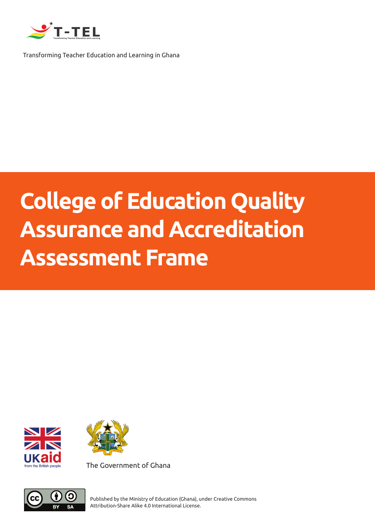

Transforming Teacher Education and Learning in Ghana

## **College of Education Quality Assurance and Accreditation Assessment Frame**





The Government of Ghana



Published by the Ministry of Education (Ghana), under Creative Commons Attribution-Share Alike 4.0 International License.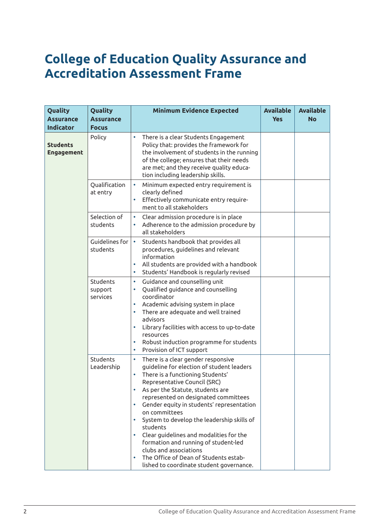## **College of Education Quality Assurance and Accreditation Assessment Frame**

| Quality<br><b>Assurance</b><br><b>Indicator</b> | Quality<br><b>Assurance</b><br><b>Focus</b> | <b>Minimum Evidence Expected</b>                                                                                                                                                                                                                                                                                                                                                                                                                                                                                                                                                                                           | <b>Available</b><br><b>Yes</b> | <b>Available</b><br><b>No</b> |
|-------------------------------------------------|---------------------------------------------|----------------------------------------------------------------------------------------------------------------------------------------------------------------------------------------------------------------------------------------------------------------------------------------------------------------------------------------------------------------------------------------------------------------------------------------------------------------------------------------------------------------------------------------------------------------------------------------------------------------------------|--------------------------------|-------------------------------|
| <b>Students</b><br><b>Engagement</b>            | Policy                                      | $\bullet$<br>There is a clear Students Engagement<br>Policy that: provides the framework for<br>the involvement of students in the running<br>of the college; ensures that their needs<br>are met; and they receive quality educa-<br>tion including leadership skills.                                                                                                                                                                                                                                                                                                                                                    |                                |                               |
|                                                 | Qualification<br>at entry                   | Minimum expected entry requirement is<br>$\bullet$<br>clearly defined<br>Effectively communicate entry require-<br>$\bullet$<br>ment to all stakeholders                                                                                                                                                                                                                                                                                                                                                                                                                                                                   |                                |                               |
|                                                 | Selection of<br>students                    | Clear admission procedure is in place<br>$\bullet$<br>Adherence to the admission procedure by<br>all stakeholders                                                                                                                                                                                                                                                                                                                                                                                                                                                                                                          |                                |                               |
|                                                 | Guidelines for<br>students                  | Students handbook that provides all<br>$\bullet$<br>procedures, guidelines and relevant<br>information<br>All students are provided with a handbook<br>$\bullet$<br>Students' Handbook is regularly revised<br>$\bullet$                                                                                                                                                                                                                                                                                                                                                                                                   |                                |                               |
|                                                 | Students<br>support<br>services             | Guidance and counselling unit<br>$\bullet$<br>Qualified guidance and counselling<br>$\bullet$<br>coordinator<br>Academic advising system in place<br>$\bullet$<br>There are adequate and well trained<br>advisors<br>Library facilities with access to up-to-date<br>۰<br>resources<br>Robust induction programme for students<br>$\bullet$<br>Provision of ICT support<br>۰                                                                                                                                                                                                                                               |                                |                               |
|                                                 | Students<br>Leadership                      | There is a clear gender responsive<br>$\bullet$<br>guideline for election of student leaders<br>There is a functioning Students'<br>$\bullet$<br>Representative Council (SRC)<br>As per the Statute, students are<br>represented on designated committees<br>Gender equity in students' representation<br>$\bullet$<br>on committees<br>System to develop the leadership skills of<br>$\bullet$<br>students<br>Clear guidelines and modalities for the<br>$\bullet$<br>formation and running of student-led<br>clubs and associations<br>The Office of Dean of Students estab-<br>lished to coordinate student governance. |                                |                               |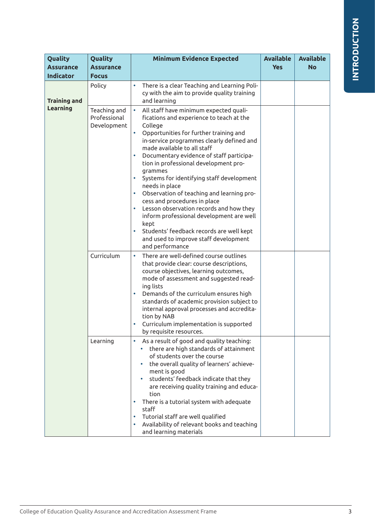| Quality<br><b>Assurance</b><br><b>Indicator</b> | Quality<br><b>Assurance</b><br><b>Focus</b> | <b>Minimum Evidence Expected</b>                                                                                                                                                                                                                                                                                                                                                                                                                                                                                                                                                                                                                                                    | <b>Available</b><br><b>Yes</b> | <b>Available</b><br><b>No</b> |
|-------------------------------------------------|---------------------------------------------|-------------------------------------------------------------------------------------------------------------------------------------------------------------------------------------------------------------------------------------------------------------------------------------------------------------------------------------------------------------------------------------------------------------------------------------------------------------------------------------------------------------------------------------------------------------------------------------------------------------------------------------------------------------------------------------|--------------------------------|-------------------------------|
| <b>Training and</b><br>Learning                 | Policy                                      | There is a clear Teaching and Learning Poli-<br>cy with the aim to provide quality training<br>and learning                                                                                                                                                                                                                                                                                                                                                                                                                                                                                                                                                                         |                                |                               |
|                                                 | Teaching and<br>Professional<br>Development | All staff have minimum expected quali-<br>$\bullet$<br>fications and experience to teach at the<br>College<br>Opportunities for further training and<br>in-service programmes clearly defined and<br>made available to all staff<br>Documentary evidence of staff participa-<br>tion in professional development pro-<br>grammes<br>Systems for identifying staff development<br>needs in place<br>Observation of teaching and learning pro-<br>cess and procedures in place<br>Lesson observation records and how they<br>inform professional development are well<br>kept<br>Students' feedback records are well kept<br>and used to improve staff development<br>and performance |                                |                               |
|                                                 | Curriculum                                  | There are well-defined course outlines<br>$\bullet$<br>that provide clear: course descriptions,<br>course objectives, learning outcomes,<br>mode of assessment and suggested read-<br>ing lists<br>Demands of the curriculum ensures high<br>$\bullet$<br>standards of academic provision subject to<br>internal approval processes and accredita-<br>tion by NAB<br>Curriculum implementation is supported<br>by requisite resources.                                                                                                                                                                                                                                              |                                |                               |
|                                                 | Learning                                    | As a result of good and quality teaching:<br>there are high standards of attainment<br>of students over the course<br>the overall quality of learners' achieve-<br>ment is good<br>students' feedback indicate that they<br>are receiving quality training and educa-<br>tion<br>There is a tutorial system with adequate<br>staff<br>Tutorial staff are well qualified<br>Availability of relevant books and teaching<br>and learning materials                                                                                                                                                                                                                                    |                                |                               |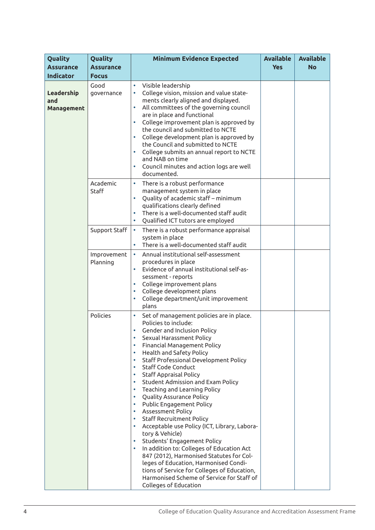| Quality<br><b>Assurance</b><br><b>Indicator</b> | Quality<br><b>Assurance</b><br><b>Focus</b> | <b>Minimum Evidence Expected</b>                                                                                                                                                                                                                                                                                                                                                                                                                                                                                                                                                                                                                                                                                                                                                                                                                                                                                                                                                                             | <b>Available</b><br><b>Yes</b> | <b>Available</b><br><b>No</b> |
|-------------------------------------------------|---------------------------------------------|--------------------------------------------------------------------------------------------------------------------------------------------------------------------------------------------------------------------------------------------------------------------------------------------------------------------------------------------------------------------------------------------------------------------------------------------------------------------------------------------------------------------------------------------------------------------------------------------------------------------------------------------------------------------------------------------------------------------------------------------------------------------------------------------------------------------------------------------------------------------------------------------------------------------------------------------------------------------------------------------------------------|--------------------------------|-------------------------------|
| Leadership<br>and<br><b>Management</b>          | Good<br>governance                          | Visible leadership<br>$\bullet$<br>College vision, mission and value state-<br>ments clearly aligned and displayed.<br>All committees of the governing council<br>$\bullet$<br>are in place and functional<br>College improvement plan is approved by<br>$\bullet$<br>the council and submitted to NCTE<br>College development plan is approved by<br>$\bullet$<br>the Council and submitted to NCTE<br>College submits an annual report to NCTE<br>$\bullet$<br>and NAB on time<br>Council minutes and action logs are well                                                                                                                                                                                                                                                                                                                                                                                                                                                                                 |                                |                               |
|                                                 | Academic<br>Staff                           | documented.<br>There is a robust performance<br>٠<br>management system in place<br>Quality of academic staff - minimum<br>$\bullet$<br>qualifications clearly defined<br>There is a well-documented staff audit<br>$\bullet$<br>Qualified ICT tutors are employed<br>$\bullet$                                                                                                                                                                                                                                                                                                                                                                                                                                                                                                                                                                                                                                                                                                                               |                                |                               |
|                                                 | Support Staff                               | There is a robust performance appraisal<br>$\bullet$<br>system in place<br>There is a well-documented staff audit                                                                                                                                                                                                                                                                                                                                                                                                                                                                                                                                                                                                                                                                                                                                                                                                                                                                                            |                                |                               |
|                                                 | Improvement<br>Planning                     | Annual institutional self-assessment<br>$\bullet$<br>procedures in place<br>Evidence of annual institutional self-as-<br>$\bullet$<br>sessment - reports<br>College improvement plans<br>$\bullet$<br>College development plans<br>$\bullet$<br>College department/unit improvement<br>plans                                                                                                                                                                                                                                                                                                                                                                                                                                                                                                                                                                                                                                                                                                                 |                                |                               |
|                                                 | Policies                                    | Set of management policies are in place.<br>Policies to include:<br>Gender and Inclusion Policy<br>Sexual Harassment Policy<br>$\bullet$<br>Financial Management Policy<br>$\bullet$<br>Health and Safety Policy<br>$\bullet$<br>Staff Professional Development Policy<br>$\bullet$<br><b>Staff Code Conduct</b><br>$\bullet$<br><b>Staff Appraisal Policy</b><br>$\bullet$<br>Student Admission and Exam Policy<br>$\bullet$<br>Teaching and Learning Policy<br>$\bullet$<br>Quality Assurance Policy<br>$\bullet$<br>Public Engagement Policy<br>Assessment Policy<br>$\bullet$<br><b>Staff Recruitment Policy</b><br>$\bullet$<br>Acceptable use Policy (ICT, Library, Labora-<br>۰<br>tory & Vehicle)<br>Students' Engagement Policy<br>In addition to: Colleges of Education Act<br>$\bullet$<br>847 (2012), Harmonised Statutes for Col-<br>leges of Education, Harmonised Condi-<br>tions of Service for Colleges of Education,<br>Harmonised Scheme of Service for Staff of<br>Colleges of Education |                                |                               |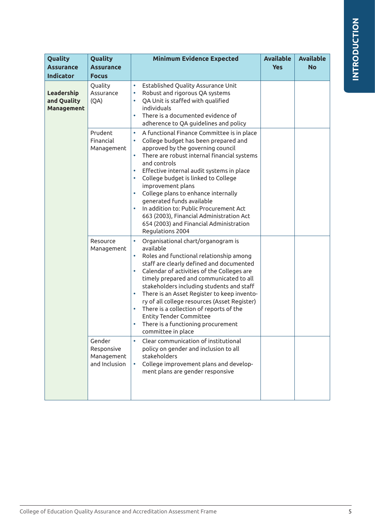| Quality<br><b>Assurance</b><br><b>Indicator</b> | Quality<br><b>Assurance</b><br><b>Focus</b>         | <b>Minimum Evidence Expected</b>                                                                                                                                                                                                                                                                                                                                                                                                                                                                                                                                                                                    | <b>Available</b><br><b>Yes</b> | <b>Available</b><br><b>No</b> |
|-------------------------------------------------|-----------------------------------------------------|---------------------------------------------------------------------------------------------------------------------------------------------------------------------------------------------------------------------------------------------------------------------------------------------------------------------------------------------------------------------------------------------------------------------------------------------------------------------------------------------------------------------------------------------------------------------------------------------------------------------|--------------------------------|-------------------------------|
| Leadership<br>and Quality<br>Management         | Quality<br>Assurance<br>(QA)                        | Established Quality Assurance Unit<br>$\bullet$<br>Robust and rigorous QA systems<br>$\bullet$<br>QA Unit is staffed with qualified<br>individuals<br>There is a documented evidence of<br>adherence to QA guidelines and policy                                                                                                                                                                                                                                                                                                                                                                                    |                                |                               |
|                                                 | Prudent<br>Financial<br>Management                  | A functional Finance Committee is in place<br>$\bullet$<br>College budget has been prepared and<br>$\bullet$<br>approved by the governing council<br>$\bullet$<br>There are robust internal financial systems<br>and controls<br>Effective internal audit systems in place<br>$\bullet$<br>College budget is linked to College<br>$\bullet$<br>improvement plans<br>College plans to enhance internally<br>$\bullet$<br>generated funds available<br>In addition to: Public Procurement Act<br>$\bullet$<br>663 (2003), Financial Administration Act<br>654 (2003) and Financial Administration<br>Regulations 2004 |                                |                               |
|                                                 | Resource<br>Management                              | $\bullet$<br>Organisational chart/organogram is<br>available<br>Roles and functional relationship among<br>$\bullet$<br>staff are clearly defined and documented<br>Calendar of activities of the Colleges are<br>$\bullet$<br>timely prepared and communicated to all<br>stakeholders including students and staff<br>There is an Asset Register to keep invento-<br>$\bullet$<br>ry of all college resources (Asset Register)<br>There is a collection of reports of the<br>$\bullet$<br><b>Entity Tender Committee</b><br>There is a functioning procurement<br>$\bullet$<br>committee in place                  |                                |                               |
|                                                 | Gender<br>Responsive<br>Management<br>and Inclusion | Clear communication of institutional<br>policy on gender and inclusion to all<br>stakeholders<br>College improvement plans and develop-<br>ment plans are gender responsive                                                                                                                                                                                                                                                                                                                                                                                                                                         |                                |                               |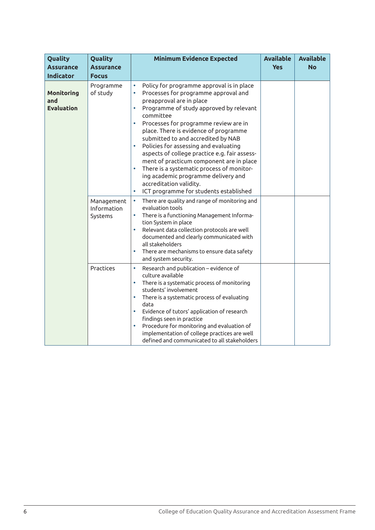| Quality<br><b>Assurance</b><br><b>Indicator</b> | Quality<br><b>Assurance</b><br><b>Focus</b> | <b>Minimum Evidence Expected</b>                                                                                                                                                                                                                                                                                                                                                                                                                                                                                                                                                                                                                                                        | <b>Available</b><br><b>Yes</b> | <b>Available</b><br><b>No</b> |
|-------------------------------------------------|---------------------------------------------|-----------------------------------------------------------------------------------------------------------------------------------------------------------------------------------------------------------------------------------------------------------------------------------------------------------------------------------------------------------------------------------------------------------------------------------------------------------------------------------------------------------------------------------------------------------------------------------------------------------------------------------------------------------------------------------------|--------------------------------|-------------------------------|
| <b>Monitoring</b><br>and<br><b>Evaluation</b>   | Programme<br>of study                       | Policy for programme approval is in place<br>$\bullet$<br>Processes for programme approval and<br>$\bullet$<br>preapproval are in place<br>Programme of study approved by relevant<br>$\bullet$<br>committee<br>Processes for programme review are in<br>$\bullet$<br>place. There is evidence of programme<br>submitted to and accredited by NAB<br>Policies for assessing and evaluating<br>$\bullet$<br>aspects of college practice e.g. fair assess-<br>ment of practicum component are in place<br>There is a systematic process of monitor-<br>$\bullet$<br>ing academic programme delivery and<br>accreditation validity.<br>ICT programme for students established<br>$\bullet$ |                                |                               |
|                                                 | Management<br>Information<br>Systems        | There are quality and range of monitoring and<br>$\bullet$<br>evaluation tools<br>There is a functioning Management Informa-<br>$\bullet$<br>tion System in place<br>Relevant data collection protocols are well<br>$\bullet$<br>documented and clearly communicated with<br>all stakeholders<br>There are mechanisms to ensure data safety<br>$\bullet$<br>and system security.                                                                                                                                                                                                                                                                                                        |                                |                               |
|                                                 | Practices                                   | Research and publication - evidence of<br>$\bullet$<br>culture available<br>There is a systematic process of monitoring<br>$\bullet$<br>students' involvement<br>There is a systematic process of evaluating<br>$\bullet$<br>data<br>Evidence of tutors' application of research<br>$\bullet$<br>findings seen in practice<br>Procedure for monitoring and evaluation of<br>$\bullet$<br>implementation of college practices are well<br>defined and communicated to all stakeholders                                                                                                                                                                                                   |                                |                               |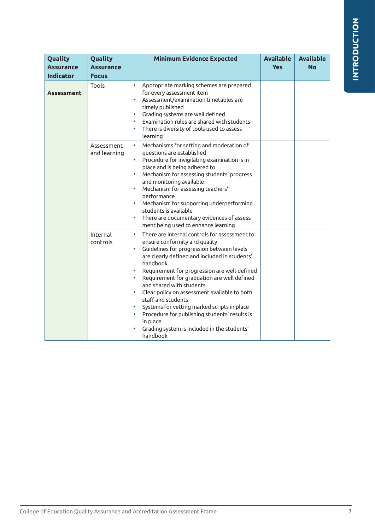| Quality<br><b>Assurance</b><br><b>Indicator</b> | Quality<br><b>Assurance</b><br><b>Focus</b> | <b>Minimum Evidence Expected</b>                                                                                                                                                                                                                                                                                                                                                                                                                                                                                                                                                                                                               | <b>Available</b><br><b>Yes</b> | <b>Available</b><br><b>No</b> |
|-------------------------------------------------|---------------------------------------------|------------------------------------------------------------------------------------------------------------------------------------------------------------------------------------------------------------------------------------------------------------------------------------------------------------------------------------------------------------------------------------------------------------------------------------------------------------------------------------------------------------------------------------------------------------------------------------------------------------------------------------------------|--------------------------------|-------------------------------|
| <b>Assessment</b>                               | Tools                                       | $\bullet$<br>Appropriate marking schemes are prepared<br>for every assessment item<br>Assessment/examination timetables are<br>timely published<br>Grading systems are well defined<br>$\bullet$<br>Examination rules are shared with students<br>$\bullet$<br>There is diversity of tools used to assess<br>$\bullet$<br>learning                                                                                                                                                                                                                                                                                                             |                                |                               |
|                                                 | Assessment<br>and learning                  | $\bullet$<br>Mechanisms for setting and moderation of<br>questions are established<br>Procedure for invigilating examination is in<br>$\bullet$<br>place and is being adhered to<br>$\bullet$<br>Mechanism for assessing students' progress<br>and monitoring available<br>Mechanism for assessing teachers'<br>$\bullet$<br>performance<br>Mechanism for supporting underperforming<br>students is available<br>There are documentary evidences of assess-<br>$\bullet$<br>ment being used to enhance learning                                                                                                                                |                                |                               |
|                                                 | Internal<br>controls                        | $\bullet$<br>There are internal controls for assessment to<br>ensure conformity and quality<br>Guidelines for progression between levels<br>$\bullet$<br>are clearly defined and included in students'<br>handbook<br>Requirement for progression are well-defined<br>$\bullet$<br>Requirement for graduation are well defined<br>$\bullet$<br>and shared with students<br>Clear policy on assessment available to both<br>$\bullet$<br>staff and students<br>Systems for vetting marked scripts in place<br>Procedure for publishing students' results is<br>$\bullet$<br>in place<br>Grading system is included in the students'<br>handbook |                                |                               |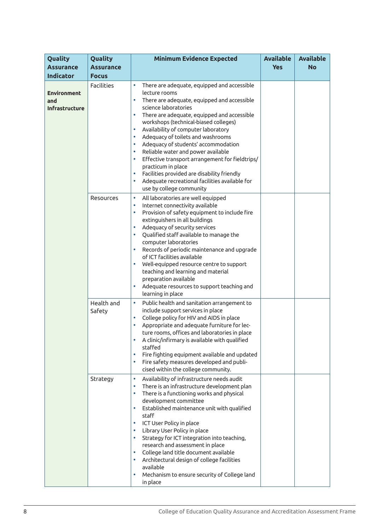| Quality<br><b>Assurance</b>                 | Quality<br><b>Assurance</b> | <b>Minimum Evidence Expected</b>                                                                                                                                                                                                                                                                                                                                                                                                                                                                                                                                                                                                                                                             | <b>Available</b><br><b>Yes</b> | <b>Available</b><br><b>No</b> |
|---------------------------------------------|-----------------------------|----------------------------------------------------------------------------------------------------------------------------------------------------------------------------------------------------------------------------------------------------------------------------------------------------------------------------------------------------------------------------------------------------------------------------------------------------------------------------------------------------------------------------------------------------------------------------------------------------------------------------------------------------------------------------------------------|--------------------------------|-------------------------------|
| <b>Indicator</b>                            | <b>Focus</b>                |                                                                                                                                                                                                                                                                                                                                                                                                                                                                                                                                                                                                                                                                                              |                                |                               |
| <b>Environment</b><br>and<br>Infrastructure | <b>Facilities</b>           | There are adequate, equipped and accessible<br>$\bullet$<br>lecture rooms<br>There are adequate, equipped and accessible<br>$\bullet$<br>science laboratories<br>There are adequate, equipped and accessible<br>$\bullet$<br>workshops (technical-biased colleges)<br>Availability of computer laboratory<br>$\bullet$<br>Adequacy of toilets and washrooms<br>٠<br>Adequacy of students' accommodation<br>٠<br>Reliable water and power available<br>$\bullet$<br>Effective transport arrangement for fieldtrips/<br>$\bullet$<br>practicum in place<br>Facilities provided are disability friendly<br>۰<br>Adequate recreational facilities available for<br>۰<br>use by college community |                                |                               |
|                                             | Resources                   | $\bullet$<br>All laboratories are well equipped<br>Internet connectivity available<br>$\bullet$<br>Provision of safety equipment to include fire<br>$\bullet$<br>extinguishers in all buildings<br>Adequacy of security services<br>$\bullet$<br>Qualified staff available to manage the<br>$\bullet$<br>computer laboratories<br>Records of periodic maintenance and upgrade<br>$\bullet$<br>of ICT facilities available<br>Well-equipped resource centre to support<br>$\bullet$<br>teaching and learning and material<br>preparation available<br>Adequate resources to support teaching and<br>$\bullet$<br>learning in place                                                            |                                |                               |
|                                             | Health and<br>Safety        | Public health and sanitation arrangement to<br>$\bullet$<br>include support services in place<br>College policy for HIV and AIDS in place<br>$\bullet$<br>Appropriate and adequate furniture for lec-<br>۰<br>ture rooms, offices and laboratories in place<br>A clinic/infirmary is available with qualified<br>۰<br>staffed<br>Fire fighting equipment available and updated<br>$\bullet$<br>Fire safety measures developed and publi-<br>$\bullet$<br>cised within the college community.                                                                                                                                                                                                 |                                |                               |
|                                             | Strategy                    | Availability of infrastructure needs audit<br>$\bullet$<br>There is an infrastructure development plan<br>$\bullet$<br>There is a functioning works and physical<br>$\bullet$<br>development committee<br>Established maintenance unit with qualified<br>$\bullet$<br>staff<br>ICT User Policy in place<br>$\bullet$<br>Library User Policy in place<br>$\bullet$<br>Strategy for ICT integration into teaching,<br>۰<br>research and assessment in place<br>College land title document available<br>۰<br>Architectural design of college facilities<br>$\bullet$<br>available<br>Mechanism to ensure security of College land<br>$\bullet$<br>in place                                     |                                |                               |